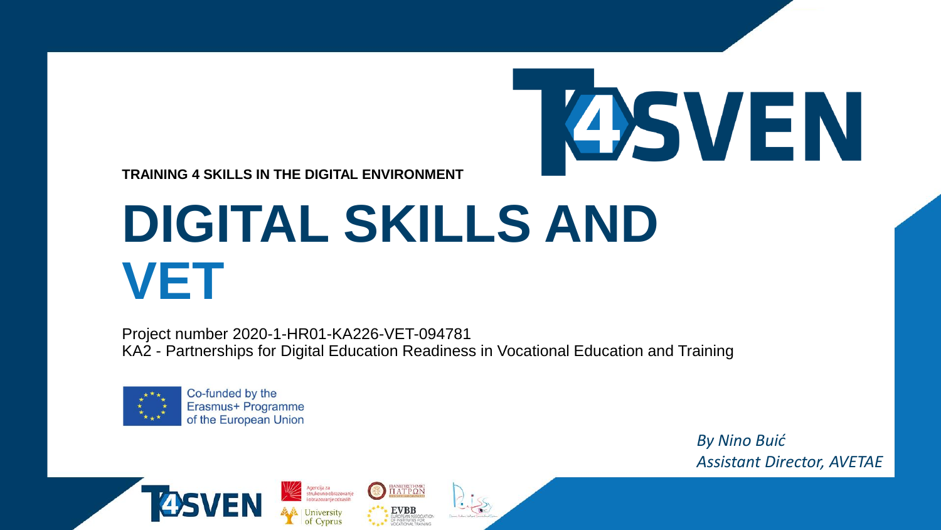# **ASVEN**

**TRAINING 4 SKILLS IN THE DIGITAL ENVIRONMENT** 

## **DIGITAL SKILLS AND VET**

Project number 2020-1-HR01-KA226-VET-094781 KA2 - Partnerships for Digital Education Readiness in Vocational Education and Training

**TIANETIE THMIC** 

**EVBB** 



Co-funded by the Erasmus+ Programme of the European Union

Agencija za<br>strukovno obrazovanje<br>i obrazovanje odraslih

*By Nino Buić Assistant Director, AVETAE*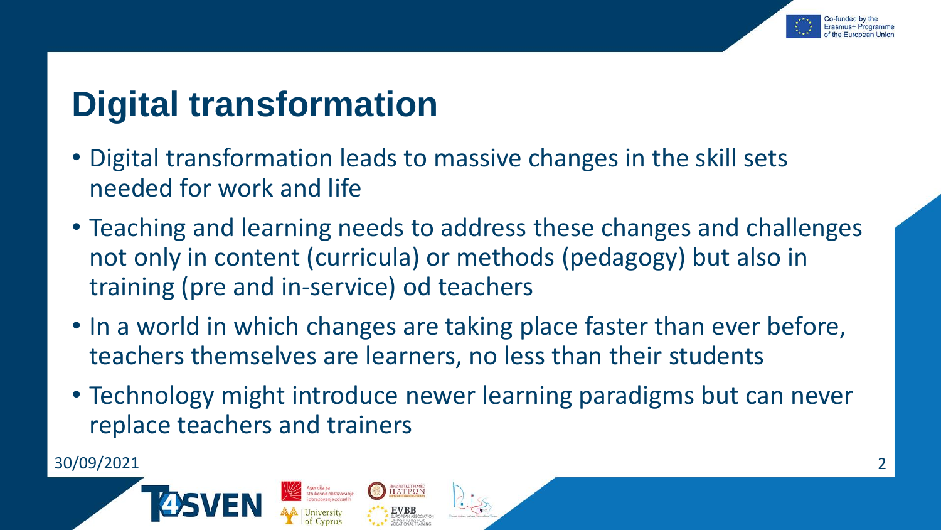

### **Digital transformation**

- Digital transformation leads to massive changes in the skill sets needed for work and life
- Teaching and learning needs to address these changes and challenges not only in content (curricula) or methods (pedagogy) but also in training (pre and in-service) od teachers
- In a world in which changes are taking place faster than ever before, teachers themselves are learners, no less than their students
- Technology might introduce newer learning paradigms but can never replace teachers and trainers

ANETIE THMIC<br>Ι ΑΤΡΩΝ

30/09/2021 2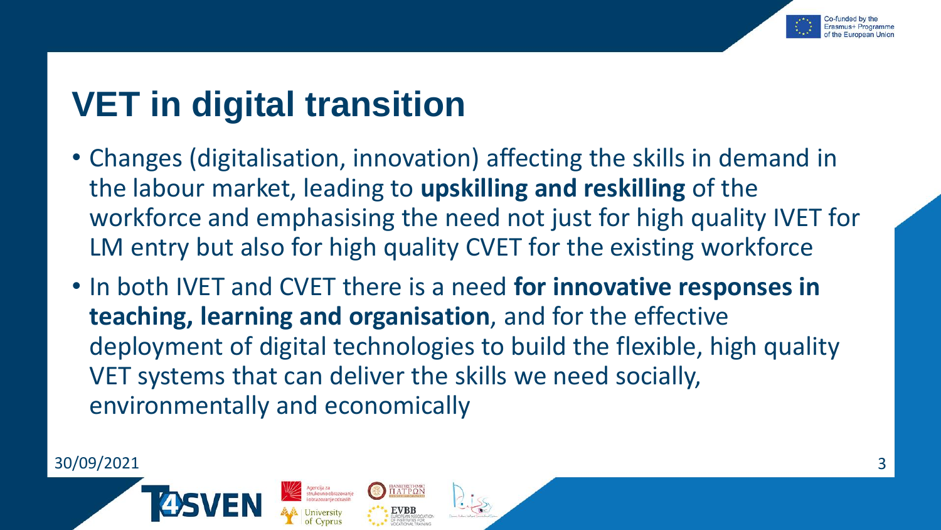

### **VET in digital transition**

- Changes (digitalisation, innovation) affecting the skills in demand in the labour market, leading to **upskilling and reskilling** of the workforce and emphasising the need not just for high quality IVET for LM entry but also for high quality CVET for the existing workforce
- In both IVET and CVET there is a need **for innovative responses in teaching, learning and organisation**, and for the effective deployment of digital technologies to build the flexible, high quality VET systems that can deliver the skills we need socially, environmentally and economically

ANEΠIΣΤΗΜΙΚ<br>ΤΑΤΡΩΝ

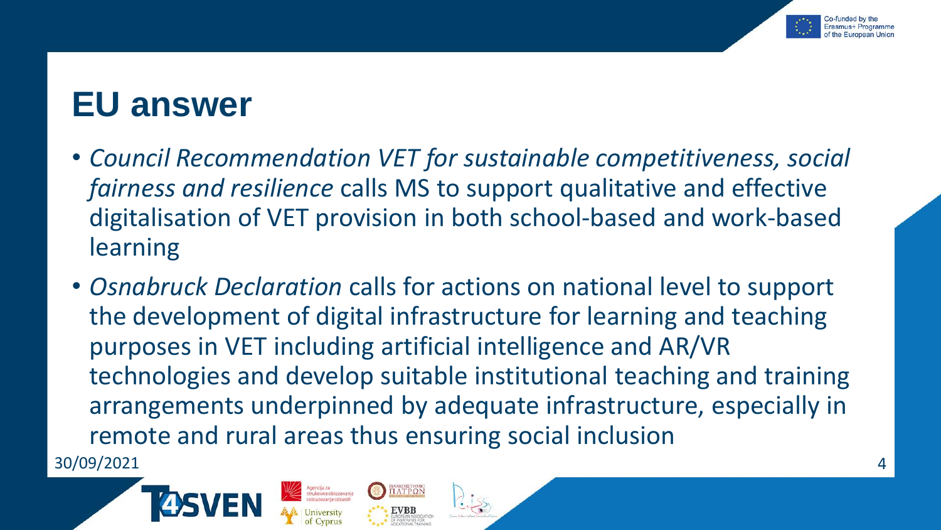

#### **EU answer**

- *Council Recommendation VET for sustainable competitiveness, social fairness and resilience* calls MS to support qualitative and effective digitalisation of VET provision in both school-based and work-based learning
- *Osnabruck Declaration* calls for actions on national level to support the development of digital infrastructure for learning and teaching purposes in VET including artificial intelligence and AR/VR technologies and develop suitable institutional teaching and training arrangements underpinned by adequate infrastructure, especially in remote and rural areas thus ensuring social inclusion

30/09/2021 4

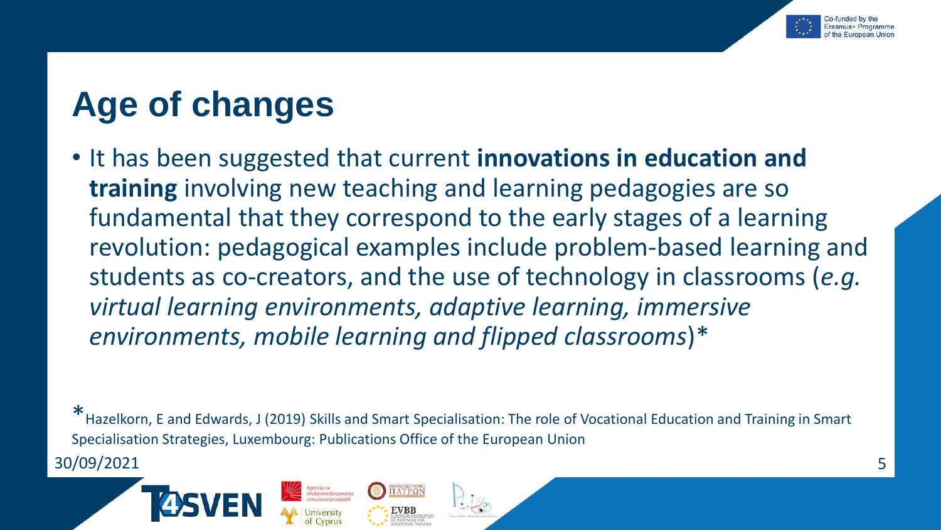

#### **Age of changes**

• It has been suggested that current **innovations in education and training** involving new teaching and learning pedagogies are so fundamental that they correspond to the early stages of a learning revolution: pedagogical examples include problem-based learning and students as co-creators, and the use of technology in classrooms (*e.g. virtual learning environments, adaptive learning, immersive environments, mobile learning and flipped classrooms*)\*

\*Hazelkorn, E and Edwards, J (2019) Skills and Smart Specialisation: The role of Vocational Education and Training in Smart Specialisation Strategies, Luxembourg: Publications Office of the European Union 30/09/2021 5